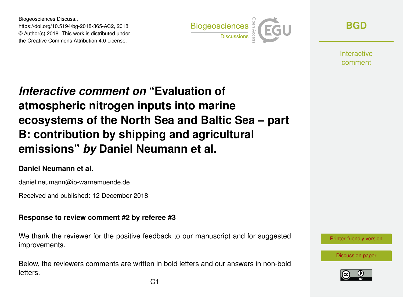Biogeosciences Discuss., https://doi.org/10.5194/bg-2018-365-AC2, 2018 © Author(s) 2018. This work is distributed under the Creative Commons Attribution 4.0 License.



**[BGD](https://www.biogeosciences-discuss.net/)**

**Interactive** comment

## *Interactive comment on* **"Evaluation of atmospheric nitrogen inputs into marine ecosystems of the North Sea and Baltic Sea – part B: contribution by shipping and agricultural emissions"** *by* **Daniel Neumann et al.**

## **Daniel Neumann et al.**

daniel.neumann@io-warnemuende.de

Received and published: 12 December 2018

## **Response to review comment #2 by referee #3**

We thank the reviewer for the positive feedback to our manuscript and for suggested improvements.

Below, the reviewers comments are written in bold letters and our answers in non-bold letters.



[Discussion paper](https://www.biogeosciences-discuss.net/bg-2018-365)

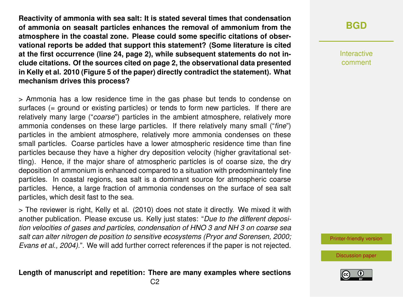**Reactivity of ammonia with sea salt: It is stated several times that condensation of ammonia on seasalt particles enhances the removal of ammonium from the atmosphere in the coastal zone. Please could some specific citations of observational reports be added that support this statement? (Some literature is cited at the first occurrence (line 24, page 2), while subsequent statements do not include citations. Of the sources cited on page 2, the observational data presented in Kelly et al. 2010 (Figure 5 of the paper) directly contradict the statement). What mechanism drives this process?**

> Ammonia has a low residence time in the gas phase but tends to condense on surfaces (= ground or existing particles) or tends to form new particles. If there are relatively many large ("*coarse*") particles in the ambient atmosphere, relatively more ammonia condenses on these large particles. If there relatively many small ("*fine*") particles in the ambient atmosphere, relatively more ammonia condenses on these small particles. Coarse particles have a lower atmospheric residence time than fine particles because they have a higher dry deposition velocity (higher gravitational settling). Hence, if the major share of atmospheric particles is of coarse size, the dry deposition of ammonium is enhanced compared to a situation with predominantely fine particles. In coastal regions, sea salt is a dominant source for atmospheric coarse particles. Hence, a large fraction of ammonia condenses on the surface of sea salt particles, which desit fast to the sea.

> The reviewer is right, Kelly et al. (2010) does not state it directly. We mixed it with another publication. Please excuse us. Kelly just states: "*Due to the different deposition velocities of gases and particles, condensation of HNO 3 and NH 3 on coarse sea salt can alter nitrogen de position to sensitive ecosystems (Pryor and Sorensen, 2000; Evans et al., 2004).*". We will add further correct references if the paper is not rejected.

**Length of manuscript and repetition: There are many examples where sections**

**[BGD](https://www.biogeosciences-discuss.net/)**

Interactive comment

[Printer-friendly version](https://www.biogeosciences-discuss.net/bg-2018-365/bg-2018-365-AC2-print.pdf)

[Discussion paper](https://www.biogeosciences-discuss.net/bg-2018-365)